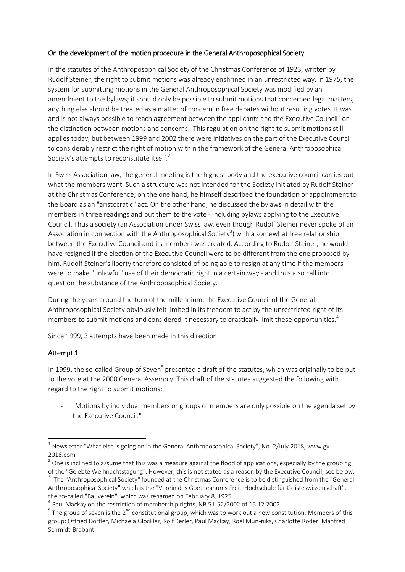## On the development of the motion procedure in the General Anthroposophical Society

In the statutes of the Anthroposophical Society of the Christmas Conference of 1923, written by Rudolf Steiner, the right to submit motions was already enshrined in an unrestricted way. In 1975, the system for submitting motions in the General Anthroposophical Society was modified by an amendment to the bylaws; it should only be possible to submit motions that concerned legal matters; anything else should be treated as a matter of concern in free debates without resulting votes. It was and is not always possible to reach agreement between the applicants and the Executive Council<sup>1</sup> on the distinction between motions and concerns. This regulation on the right to submit motions still applies today, but between 1999 and 2002 there were initiatives on the part of the Executive Council to considerably restrict the right of motion within the framework of the General Anthroposophical Society's attempts to reconstitute itself. $2$ 

In Swiss Association law, the general meeting is the highest body and the executive council carries out what the members want. Such a structure was not intended for the Society initiated by Rudolf Steiner at the Christmas Conference; on the one hand, he himself described the foundation or appointment to the Board as an "aristocratic" act. On the other hand, he discussed the bylaws in detail with the members in three readings and put them to the vote - including bylaws applying to the Executive Council. Thus a society (an Association under Swiss law, even though Rudolf Steiner never spoke of an Association in connection with the Anthroposophical Society<sup>3</sup>) with a somewhat free relationship between the Executive Council and its members was created. According to Rudolf Steiner, he would have resigned if the election of the Executive Council were to be different from the one proposed by him. Rudolf Steiner's liberty therefore consisted of being able to resign at any time if the members were to make "unlawful" use of their democratic right in a certain way - and thus also call into question the substance of the Anthroposophical Society.

During the years around the turn of the millennium, the Executive Council of the General Anthroposophical Society obviously felt limited in its freedom to act by the unrestricted right of its members to submit motions and considered it necessary to drastically limit these opportunities. 4

Since 1999, 3 attempts have been made in this direction:

## Attempt 1

**.** 

In 1999, the so-called Group of Seven<sup>5</sup> presented a draft of the statutes, which was originally to be put to the vote at the 2000 General Assembly. This draft of the statutes suggested the following with regard to the right to submit motions:

"Motions by individual members or groups of members are only possible on the agenda set by the Executive Council."

 $^{\rm 1}$  Newsletter "What else is going on in the General Anthroposophical Society", No. 2/July 2018, www.gv-2018.com

 $2$  One is inclined to assume that this was a measure against the flood of applications, especially by the grouping of the "Gelebte Weihnachtstagung". However, this is not stated as a reason by the Executive Council, see below.  $3$  The "Anthroposophical Society" founded at the Christmas Conference is to be distinguished from the "General Anthroposophical Society" which is the "Verein des Goetheanums Freie Hochschule für Geisteswissenschaft", the so-called "Bauverein", which was renamed on February 8, 1925.

 $^{4}$  Paul Mackay on the restriction of membership rights, NB 51-52/2002 of 15.12.2002.

 $^5$  The group of seven is the 2<sup>nd</sup> constitutional group, which was to work out a new constitution. Members of this group: Otfried Dörfler, Michaela Glöckler, Rolf Kerler, Paul Mackay, Roel Mun-niks, Charlotte Roder, Manfred Schmidt-Brabant.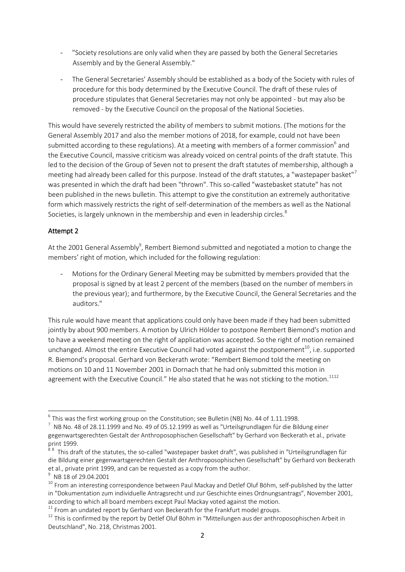- "Society resolutions are only valid when they are passed by both the General Secretaries Assembly and by the General Assembly."
- The General Secretaries' Assembly should be established as a body of the Society with rules of procedure for this body determined by the Executive Council. The draft of these rules of procedure stipulates that General Secretaries may not only be appointed - but may also be removed - by the Executive Council on the proposal of the National Societies.

This would have severely restricted the ability of members to submit motions. (The motions for the General Assembly 2017 and also the member motions of 2018, for example, could not have been submitted according to these regulations). At a meeting with members of a former commission<sup>6</sup> and the Executive Council, massive criticism was already voiced on central points of the draft statute. This led to the decision of the Group of Seven not to present the draft statutes of membership, although a meeting had already been called for this purpose. Instead of the draft statutes, a "wastepaper basket"<sup>7</sup> was presented in which the draft had been "thrown". This so-called "wastebasket statute" has not been published in the news bulletin. This attempt to give the constitution an extremely authoritative form which massively restricts the right of self-determination of the members as well as the National Societies, is largely unknown in the membership and even in leadership circles.<sup>8</sup>

# Attempt 2

At the 2001 General Assembly<sup>9</sup>, Rembert Biemond submitted and negotiated a motion to change the members' right of motion, which included for the following regulation:

Motions for the Ordinary General Meeting may be submitted by members provided that the proposal is signed by at least 2 percent of the members (based on the number of members in the previous year); and furthermore, by the Executive Council, the General Secretaries and the auditors."

This rule would have meant that applications could only have been made if they had been submitted jointly by about 900 members. A motion by Ulrich Hölder to postpone Rembert Biemond's motion and to have a weekend meeting on the right of application was accepted. So the right of motion remained unchanged. Almost the entire Executive Council had voted against the postponement<sup>10</sup>, i.e. supported R. Biemond's proposal. Gerhard von Beckerath wrote: "Rembert Biemond told the meeting on motions on 10 and 11 November 2001 in Dornach that he had only submitted this motion in agreement with the Executive Council." He also stated that he was not sticking to the motion.<sup>1112</sup>

<sup>1</sup>  $^6$  This was the first working group on the Constitution; see Bulletin (NB) No. 44 of 1.11.1998.

 $^7$  NB No. 48 of 28.11.1999 and No. 49 of 05.12.1999 as well as "Urteilsgrundlagen für die Bildung einer gegenwartsgerechten Gestalt der Anthroposophischen Gesellschaft" by Gerhard von Beckerath et al., private print 1999.

 $88$  This draft of the statutes, the so-called "wastepaper basket draft", was published in "Urteilsgrundlagen für die Bildung einer gegenwartsgerechten Gestalt der Anthroposophischen Gesellschaft" by Gerhard von Beckerath et al., private print 1999, and can be requested as a copy from the author.

 $^9$  NB 18 of 29.04.2001

<sup>&</sup>lt;sup>10</sup> From an interesting correspondence between Paul Mackay and Detlef Oluf Böhm, self-published by the latter in "Dokumentation zum individuelle Antragsrecht und zur Geschichte eines Ordnungsantrags", November 2001, according to which all board members except Paul Mackay voted against the motion.

 $11$  From an undated report by Gerhard von Beckerath for the Frankfurt model groups.

 $12$  This is confirmed by the report by Detlef Oluf Böhm in "Mitteilungen aus der anthroposophischen Arbeit in Deutschland", No. 218, Christmas 2001.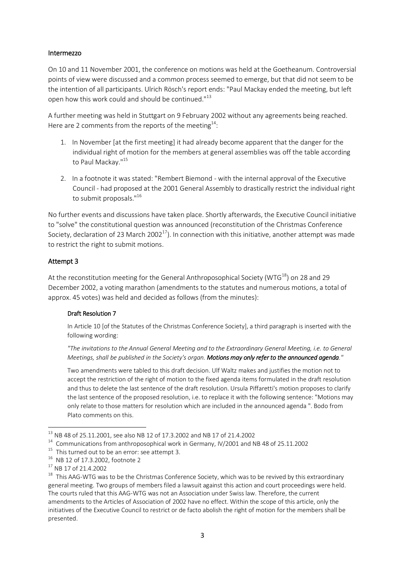### Intermezzo

On 10 and 11 November 2001, the conference on motions was held at the Goetheanum. Controversial points of view were discussed and a common process seemed to emerge, but that did not seem to be the intention of all participants. Ulrich Rösch's report ends: "Paul Mackay ended the meeting, but left open how this work could and should be continued."<sup>13</sup>

A further meeting was held in Stuttgart on 9 February 2002 without any agreements being reached. Here are 2 comments from the reports of the meeting<sup>14</sup>:

- 1. In November [at the first meeting] it had already become apparent that the danger for the individual right of motion for the members at general assemblies was off the table according to Paul Mackay."<sup>15</sup>
- 2. In a footnote it was stated: "Rembert Biemond with the internal approval of the Executive Council - had proposed at the 2001 General Assembly to drastically restrict the individual right to submit proposals."<sup>16</sup>

No further events and discussions have taken place. Shortly afterwards, the Executive Council initiative to "solve" the constitutional question was announced (reconstitution of the Christmas Conference Society, declaration of 23 March 2002<sup>17</sup>). In connection with this initiative, another attempt was made to restrict the right to submit motions.

## Attempt 3

At the reconstitution meeting for the General Anthroposophical Society (WTG<sup>18</sup>) on 28 and 29 December 2002, a voting marathon (amendments to the statutes and numerous motions, a total of approx. 45 votes) was held and decided as follows (from the minutes):

#### Draft Resolution 7

In Article 10 [of the Statutes of the Christmas Conference Society], a third paragraph is inserted with the following wording:

*"The invitations to the Annual General Meeting and to the Extraordinary General Meeting, i.e. to General Meetings, shall be published in the Society's organ. Motions may only refer to the announced agenda."*

Two amendments were tabled to this draft decision. Ulf Waltz makes and justifies the motion not to accept the restriction of the right of motion to the fixed agenda items formulated in the draft resolution and thus to delete the last sentence of the draft resolution. Ursula Piffaretti's motion proposes to clarify the last sentence of the proposed resolution, i.e. to replace it with the following sentence: "Motions may only relate to those matters for resolution which are included in the announced agenda ". Bodo from Plato comments on this.

1

 $^{13}$  NB 48 of 25.11.2001, see also NB 12 of 17.3.2002 and NB 17 of 21.4.2002

<sup>&</sup>lt;sup>14</sup> Communications from anthroposophical work in Germany, IV/2001 and NB 48 of 25.11.2002

 $15$  This turned out to be an error: see attempt 3.

<sup>16</sup> NB 12 of 17.3.2002, footnote 2

<sup>17</sup> NB 17 of 21.4.2002

 $^{18}$  This AAG-WTG was to be the Christmas Conference Society, which was to be revived by this extraordinary general meeting. Two groups of members filed a lawsuit against this action and court proceedings were held. The courts ruled that this AAG-WTG was not an Association under Swiss law. Therefore, the current amendments to the Articles of Association of 2002 have no effect. Within the scope of this article, only the initiatives of the Executive Council to restrict or de facto abolish the right of motion for the members shall be presented.